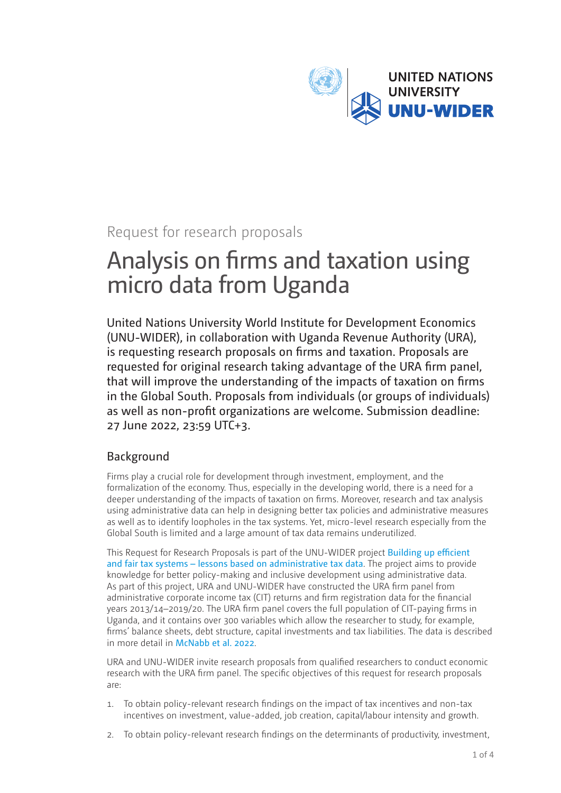

# Request for research proposals

# Analysis on firms and taxation using micro data from Uganda

United Nations University World Institute for Development Economics (UNU-WIDER), in collaboration with Uganda Revenue Authority (URA), is requesting research proposals on firms and taxation. Proposals are requested for original research taking advantage of the URA firm panel, that will improve the understanding of the impacts of taxation on firms in the Global South. Proposals from individuals (or groups of individuals) as well as non-profit organizations are welcome. Submission deadline: 27 June 2022, 23:59 UTC+3.

## Background

Firms play a crucial role for development through investment, employment, and the formalization of the economy. Thus, especially in the developing world, there is a need for a deeper understanding of the impacts of taxation on firms. Moreover, research and tax analysis using administrative data can help in designing better tax policies and administrative measures as well as to identify loopholes in the tax systems. Yet, micro-level research especially from the Global South is limited and a large amount of tax data remains underutilized.

This Request for Research Proposals is part of the UNU-WIDER project [Building up efficient](https://www.wider.unu.edu/project/building-efficient-and-fair-tax-systems-%E2%80%93-lessons-based-administrative-tax-data)  [and fair tax systems – lessons based on administrative tax data](https://www.wider.unu.edu/project/building-efficient-and-fair-tax-systems-%E2%80%93-lessons-based-administrative-tax-data). The project aims to provide knowledge for better policy-making and inclusive development using administrative data. As part of this project, URA and UNU-WIDER have constructed the URA firm panel from administrative corporate income tax (CIT) returns and firm registration data for the financial years 2013/14–2019/20. The URA firm panel covers the full population of CIT-paying firms in Uganda, and it contains over 300 variables which allow the researcher to study, for example, firms' balance sheets, debt structure, capital investments and tax liabilities. The data is described in more detail in [McNabb et al. 2022](https://www.wider.unu.edu/publication/uganda-revenue-authority-firm-panel).

URA and UNU-WIDER invite research proposals from qualified researchers to conduct economic research with the URA firm panel. The specific objectives of this request for research proposals are:

- 1. To obtain policy-relevant research findings on the impact of tax incentives and non-tax incentives on investment, value-added, job creation, capital/labour intensity and growth.
- 2. To obtain policy-relevant research findings on the determinants of productivity, investment,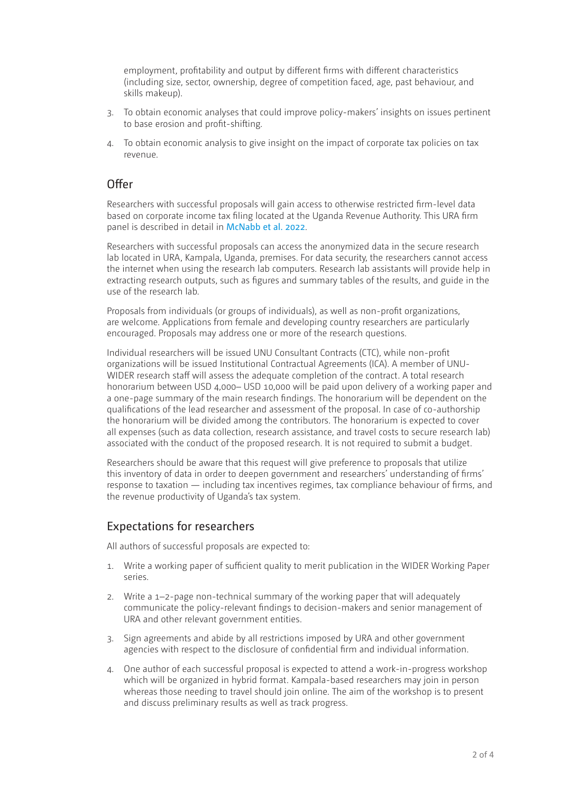employment, profitability and output by different firms with different characteristics (including size, sector, ownership, degree of competition faced, age, past behaviour, and skills makeup).

- 3. To obtain economic analyses that could improve policy-makers' insights on issues pertinent to base erosion and profit-shifting.
- 4. To obtain economic analysis to give insight on the impact of corporate tax policies on tax revenue.

#### Offer

Researchers with successful proposals will gain access to otherwise restricted firm-level data based on corporate income tax filing located at the Uganda Revenue Authority. This URA firm panel is described in detail in [McNabb et al. 2022](https://www.wider.unu.edu/publication/uganda-revenue-authority-firm-panel).

Researchers with successful proposals can access the anonymized data in the secure research lab located in URA, Kampala, Uganda, premises. For data security, the researchers cannot access the internet when using the research lab computers. Research lab assistants will provide help in extracting research outputs, such as figures and summary tables of the results, and guide in the use of the research lab.

Proposals from individuals (or groups of individuals), as well as non-profit organizations, are welcome. Applications from female and developing country researchers are particularly encouraged. Proposals may address one or more of the research questions.

Individual researchers will be issued UNU Consultant Contracts (CTC), while non-profit organizations will be issued Institutional Contractual Agreements (ICA). A member of UNU-WIDER research staff will assess the adequate completion of the contract. A total research honorarium between USD 4,000– USD 10,000 will be paid upon delivery of a working paper and a one-page summary of the main research findings. The honorarium will be dependent on the qualifications of the lead researcher and assessment of the proposal. In case of co-authorship the honorarium will be divided among the contributors. The honorarium is expected to cover all expenses (such as data collection, research assistance, and travel costs to secure research lab) associated with the conduct of the proposed research. It is not required to submit a budget.

Researchers should be aware that this request will give preference to proposals that utilize this inventory of data in order to deepen government and researchers' understanding of firms' response to taxation — including tax incentives regimes, tax compliance behaviour of firms, and the revenue productivity of Uganda's tax system.

#### Expectations for researchers

All authors of successful proposals are expected to:

- 1. Write a working paper of sufficient quality to merit publication in the WIDER Working Paper series.
- 2. Write a 1–2-page non-technical summary of the working paper that will adequately communicate the policy-relevant findings to decision-makers and senior management of URA and other relevant government entities.
- 3. Sign agreements and abide by all restrictions imposed by URA and other government agencies with respect to the disclosure of confidential firm and individual information.
- 4. One author of each successful proposal is expected to attend a work-in-progress workshop which will be organized in hybrid format. Kampala-based researchers may join in person whereas those needing to travel should join online. The aim of the workshop is to present and discuss preliminary results as well as track progress.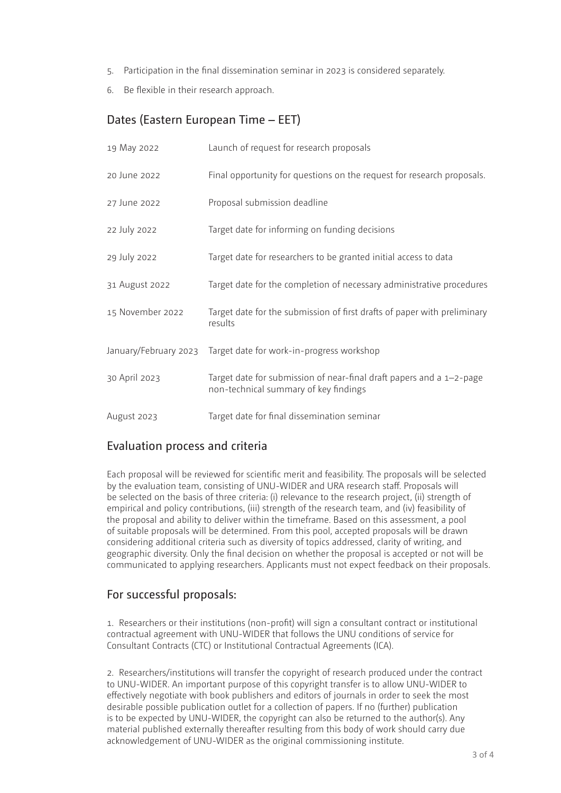- 5. Participation in the final dissemination seminar in 2023 is considered separately.
- 6. Be flexible in their research approach.

# Dates (Eastern European Time – EET)

| 19 May 2022           | Launch of request for research proposals                                                                      |
|-----------------------|---------------------------------------------------------------------------------------------------------------|
| 20 June 2022          | Final opportunity for questions on the request for research proposals.                                        |
| 27 June 2022          | Proposal submission deadline                                                                                  |
| 22 July 2022          | Target date for informing on funding decisions                                                                |
| 29 July 2022          | Target date for researchers to be granted initial access to data                                              |
| 31 August 2022        | Target date for the completion of necessary administrative procedures                                         |
| 15 November 2022      | Target date for the submission of first drafts of paper with preliminary<br>results                           |
| January/February 2023 | Target date for work-in-progress workshop                                                                     |
| 30 April 2023         | Target date for submission of near-final draft papers and a 1-2-page<br>non-technical summary of key findings |
| August 2023           | Target date for final dissemination seminar                                                                   |

#### Evaluation process and criteria

Each proposal will be reviewed for scientific merit and feasibility. The proposals will be selected by the evaluation team, consisting of UNU-WIDER and URA research staff. Proposals will be selected on the basis of three criteria: (i) relevance to the research project, (ii) strength of empirical and policy contributions, (iii) strength of the research team, and (iv) feasibility of the proposal and ability to deliver within the timeframe. Based on this assessment, a pool of suitable proposals will be determined. From this pool, accepted proposals will be drawn considering additional criteria such as diversity of topics addressed, clarity of writing, and geographic diversity. Only the final decision on whether the proposal is accepted or not will be communicated to applying researchers. Applicants must not expect feedback on their proposals.

#### For successful proposals:

1. Researchers or their institutions (non-profit) will sign a consultant contract or institutional contractual agreement with UNU-WIDER that follows the UNU conditions of service for Consultant Contracts (CTC) or Institutional Contractual Agreements (ICA).

2. Researchers/institutions will transfer the copyright of research produced under the contract to UNU-WIDER. An important purpose of this copyright transfer is to allow UNU-WIDER to effectively negotiate with book publishers and editors of journals in order to seek the most desirable possible publication outlet for a collection of papers. If no (further) publication is to be expected by UNU-WIDER, the copyright can also be returned to the author(s). Any material published externally thereafter resulting from this body of work should carry due acknowledgement of UNU-WIDER as the original commissioning institute.